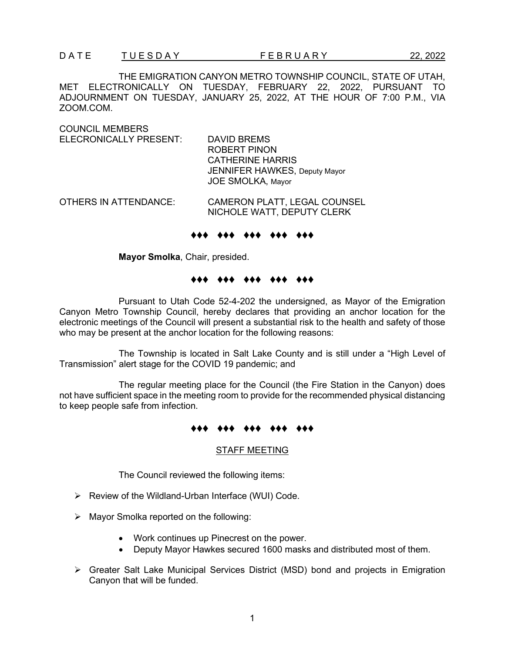THE EMIGRATION CANYON METRO TOWNSHIP COUNCIL, STATE OF UTAH, MET ELECTRONICALLY ON TUESDAY, FEBRUARY 22, 2022, PURSUANT TO ADJOURNMENT ON TUESDAY, JANUARY 25, 2022, AT THE HOUR OF 7:00 P.M., VIA ZOOM.COM.

COUNCIL MEMBERS ELECRONICALLY PRESENT: DAVID BREMS ROBERT PINON CATHERINE HARRIS JENNIFER HAWKES, Deputy Mayor JOE SMOLKA, Mayor OTHERS IN ATTENDANCE: CAMERON PLATT, LEGAL COUNSEL

NICHOLE WATT, DEPUTY CLERK

### ♦♦♦ ♦♦♦ ♦♦♦ ♦♦♦ ♦♦♦

**Mayor Smolka**, Chair, presided.

# ♦♦♦ ♦♦♦ ♦♦♦ ♦♦♦ ♦♦♦

Pursuant to Utah Code 52-4-202 the undersigned, as Mayor of the Emigration Canyon Metro Township Council, hereby declares that providing an anchor location for the electronic meetings of the Council will present a substantial risk to the health and safety of those who may be present at the anchor location for the following reasons:

The Township is located in Salt Lake County and is still under a "High Level of Transmission" alert stage for the COVID 19 pandemic; and

The regular meeting place for the Council (the Fire Station in the Canyon) does not have sufficient space in the meeting room to provide for the recommended physical distancing to keep people safe from infection.

## ♦♦♦ ♦♦♦ ♦♦♦ ♦♦♦ ♦♦♦

#### STAFF MEETING

The Council reviewed the following items:

- $\triangleright$  Review of the Wildland-Urban Interface (WUI) Code.
- $\triangleright$  Mayor Smolka reported on the following:
	- Work continues up Pinecrest on the power.
	- Deputy Mayor Hawkes secured 1600 masks and distributed most of them.
- $\triangleright$  Greater Salt Lake Municipal Services District (MSD) bond and projects in Emigration Canyon that will be funded.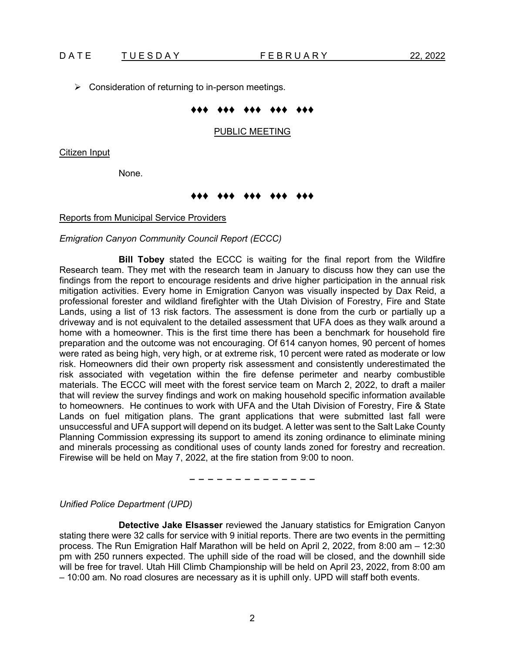$\triangleright$  Consideration of returning to in-person meetings.

## ♦♦♦ ♦♦♦ ♦♦♦ ♦♦♦ ♦♦♦

### PUBLIC MEETING

Citizen Input

None.

# ♦♦♦ ♦♦♦ ♦♦♦ ♦♦♦ ♦♦♦

#### Reports from Municipal Service Providers

### *Emigration Canyon Community Council Report (ECCC)*

**Bill Tobey** stated the ECCC is waiting for the final report from the Wildfire Research team. They met with the research team in January to discuss how they can use the findings from the report to encourage residents and drive higher participation in the annual risk mitigation activities. Every home in Emigration Canyon was visually inspected by Dax Reid, a professional forester and wildland firefighter with the Utah Division of Forestry, Fire and State Lands, using a list of 13 risk factors. The assessment is done from the curb or partially up a driveway and is not equivalent to the detailed assessment that UFA does as they walk around a home with a homeowner. This is the first time there has been a benchmark for household fire preparation and the outcome was not encouraging. Of 614 canyon homes, 90 percent of homes were rated as being high, very high, or at extreme risk, 10 percent were rated as moderate or low risk. Homeowners did their own property risk assessment and consistently underestimated the risk associated with vegetation within the fire defense perimeter and nearby combustible materials. The ECCC will meet with the forest service team on March 2, 2022, to draft a mailer that will review the survey findings and work on making household specific information available to homeowners. He continues to work with UFA and the Utah Division of Forestry, Fire & State Lands on fuel mitigation plans. The grant applications that were submitted last fall were unsuccessful and UFA support will depend on its budget. A letter was sent to the Salt Lake County Planning Commission expressing its support to amend its zoning ordinance to eliminate mining and minerals processing as conditional uses of county lands zoned for forestry and recreation. Firewise will be held on May 7, 2022, at the fire station from 9:00 to noon.

− − − − − − − − − − − − − −

*Unified Police Department (UPD)* 

**Detective Jake Elsasser** reviewed the January statistics for Emigration Canyon stating there were 32 calls for service with 9 initial reports. There are two events in the permitting process. The Run Emigration Half Marathon will be held on April 2, 2022, from 8:00 am – 12:30 pm with 250 runners expected. The uphill side of the road will be closed, and the downhill side will be free for travel. Utah Hill Climb Championship will be held on April 23, 2022, from 8:00 am – 10:00 am. No road closures are necessary as it is uphill only. UPD will staff both events.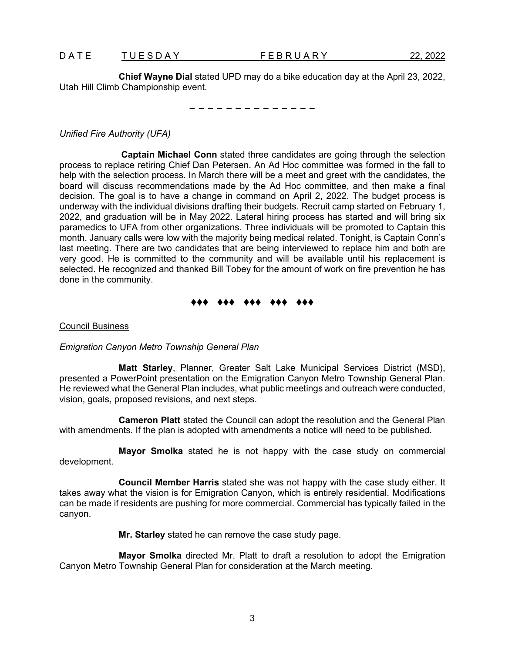**Chief Wayne Dial** stated UPD may do a bike education day at the April 23, 2022, Utah Hill Climb Championship event.

− − − − − − − − − − − − − −

*Unified Fire Authority (UFA)*

**Captain Michael Conn** stated three candidates are going through the selection process to replace retiring Chief Dan Petersen. An Ad Hoc committee was formed in the fall to help with the selection process. In March there will be a meet and greet with the candidates, the board will discuss recommendations made by the Ad Hoc committee, and then make a final decision. The goal is to have a change in command on April 2, 2022. The budget process is underway with the individual divisions drafting their budgets. Recruit camp started on February 1, 2022, and graduation will be in May 2022. Lateral hiring process has started and will bring six paramedics to UFA from other organizations. Three individuals will be promoted to Captain this month. January calls were low with the majority being medical related. Tonight, is Captain Conn's last meeting. There are two candidates that are being interviewed to replace him and both are very good. He is committed to the community and will be available until his replacement is selected. He recognized and thanked Bill Tobey for the amount of work on fire prevention he has done in the community.

## ♦♦♦ ♦♦♦ ♦♦♦ ♦♦♦ ♦♦♦

## Council Business

*Emigration Canyon Metro Township General Plan*

**Matt Starley**, Planner, Greater Salt Lake Municipal Services District (MSD), presented a PowerPoint presentation on the Emigration Canyon Metro Township General Plan. He reviewed what the General Plan includes, what public meetings and outreach were conducted, vision, goals, proposed revisions, and next steps.

**Cameron Platt** stated the Council can adopt the resolution and the General Plan with amendments. If the plan is adopted with amendments a notice will need to be published.

**Mayor Smolka** stated he is not happy with the case study on commercial development.

**Council Member Harris** stated she was not happy with the case study either. It takes away what the vision is for Emigration Canyon, which is entirely residential. Modifications can be made if residents are pushing for more commercial. Commercial has typically failed in the canyon.

**Mr. Starley** stated he can remove the case study page.

**Mayor Smolka** directed Mr. Platt to draft a resolution to adopt the Emigration Canyon Metro Township General Plan for consideration at the March meeting.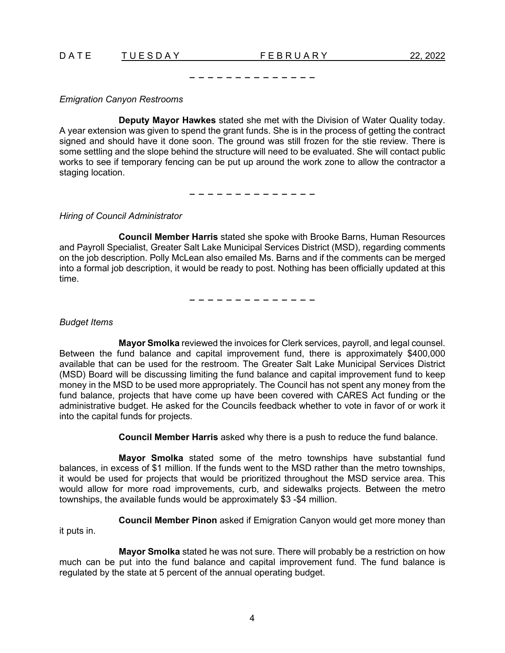DATE TUESDAY FEBRUARY 22, 2022

## *Emigration Canyon Restrooms*

**Deputy Mayor Hawkes** stated she met with the Division of Water Quality today. A year extension was given to spend the grant funds. She is in the process of getting the contract signed and should have it done soon. The ground was still frozen for the stie review. There is some settling and the slope behind the structure will need to be evaluated. She will contact public works to see if temporary fencing can be put up around the work zone to allow the contractor a staging location.

− − − − − − − − − − − − − −

− − − − − − − − − − − − − −

## *Hiring of Council Administrator*

**Council Member Harris** stated she spoke with Brooke Barns, Human Resources and Payroll Specialist, Greater Salt Lake Municipal Services District (MSD), regarding comments on the job description. Polly McLean also emailed Ms. Barns and if the comments can be merged into a formal job description, it would be ready to post. Nothing has been officially updated at this time.

− − − − − − − − − − − − − −

## *Budget Items*

**Mayor Smolka** reviewed the invoices for Clerk services, payroll, and legal counsel. Between the fund balance and capital improvement fund, there is approximately \$400,000 available that can be used for the restroom. The Greater Salt Lake Municipal Services District (MSD) Board will be discussing limiting the fund balance and capital improvement fund to keep money in the MSD to be used more appropriately. The Council has not spent any money from the fund balance, projects that have come up have been covered with CARES Act funding or the administrative budget. He asked for the Councils feedback whether to vote in favor of or work it into the capital funds for projects.

**Council Member Harris** asked why there is a push to reduce the fund balance.

**Mayor Smolka** stated some of the metro townships have substantial fund balances, in excess of \$1 million. If the funds went to the MSD rather than the metro townships, it would be used for projects that would be prioritized throughout the MSD service area. This would allow for more road improvements, curb, and sidewalks projects. Between the metro townships, the available funds would be approximately \$3 -\$4 million.

**Council Member Pinon** asked if Emigration Canyon would get more money than

it puts in.

**Mayor Smolka** stated he was not sure. There will probably be a restriction on how much can be put into the fund balance and capital improvement fund. The fund balance is regulated by the state at 5 percent of the annual operating budget.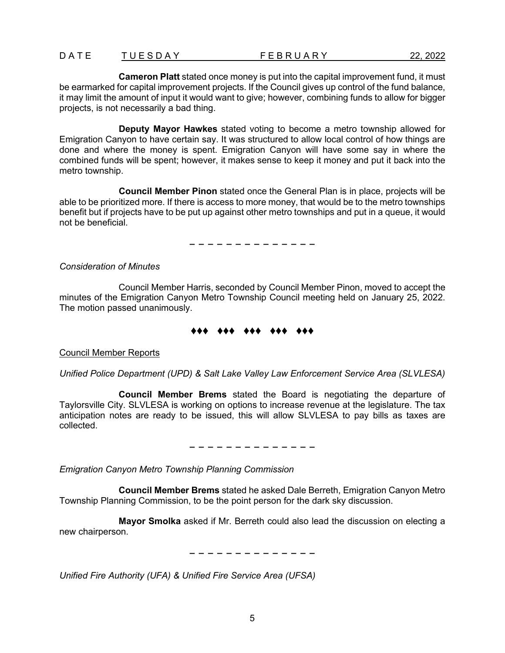**Cameron Platt** stated once money is put into the capital improvement fund, it must be earmarked for capital improvement projects. If the Council gives up control of the fund balance, it may limit the amount of input it would want to give; however, combining funds to allow for bigger projects, is not necessarily a bad thing.

**Deputy Mayor Hawkes** stated voting to become a metro township allowed for Emigration Canyon to have certain say. It was structured to allow local control of how things are done and where the money is spent. Emigration Canyon will have some say in where the combined funds will be spent; however, it makes sense to keep it money and put it back into the metro township.

**Council Member Pinon** stated once the General Plan is in place, projects will be able to be prioritized more. If there is access to more money, that would be to the metro townships benefit but if projects have to be put up against other metro townships and put in a queue, it would not be beneficial.

− − − − − − − − − − − − − −

*Consideration of Minutes*

Council Member Harris, seconded by Council Member Pinon, moved to accept the minutes of the Emigration Canyon Metro Township Council meeting held on January 25, 2022. The motion passed unanimously.

## ♦♦♦ ♦♦♦ ♦♦♦ ♦♦♦ ♦♦♦

Council Member Reports

*Unified Police Department (UPD) & Salt Lake Valley Law Enforcement Service Area (SLVLESA)*

**Council Member Brems** stated the Board is negotiating the departure of Taylorsville City. SLVLESA is working on options to increase revenue at the legislature. The tax anticipation notes are ready to be issued, this will allow SLVLESA to pay bills as taxes are collected.

− − − − − − − − − − − − − −

*Emigration Canyon Metro Township Planning Commission*

**Council Member Brems** stated he asked Dale Berreth, Emigration Canyon Metro Township Planning Commission, to be the point person for the dark sky discussion.

**Mayor Smolka** asked if Mr. Berreth could also lead the discussion on electing a new chairperson.

− − − − − − − − − − − − − −

*Unified Fire Authority (UFA) & Unified Fire Service Area (UFSA)*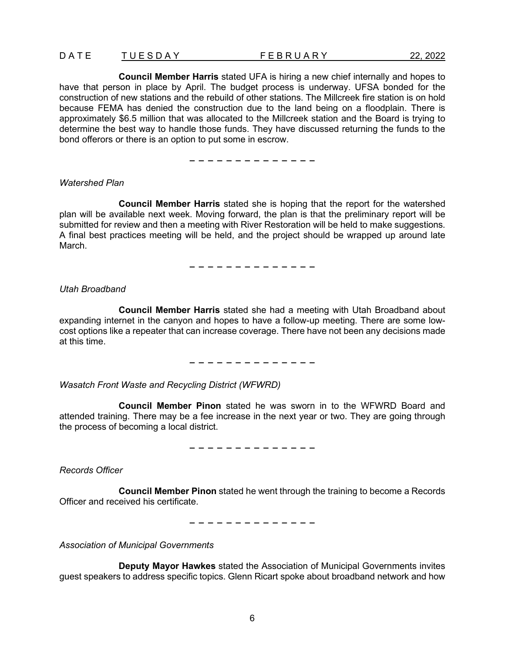**Council Member Harris** stated UFA is hiring a new chief internally and hopes to have that person in place by April. The budget process is underway. UFSA bonded for the construction of new stations and the rebuild of other stations. The Millcreek fire station is on hold because FEMA has denied the construction due to the land being on a floodplain. There is approximately \$6.5 million that was allocated to the Millcreek station and the Board is trying to determine the best way to handle those funds. They have discussed returning the funds to the bond offerors or there is an option to put some in escrow.

− − − − − − − − − − − − − −

### *Watershed Plan*

**Council Member Harris** stated she is hoping that the report for the watershed plan will be available next week. Moving forward, the plan is that the preliminary report will be submitted for review and then a meeting with River Restoration will be held to make suggestions. A final best practices meeting will be held, and the project should be wrapped up around late March.

− − − − − − − − − − − − − −

### *Utah Broadband*

**Council Member Harris** stated she had a meeting with Utah Broadband about expanding internet in the canyon and hopes to have a follow-up meeting. There are some lowcost options like a repeater that can increase coverage. There have not been any decisions made at this time.

− − − − − − − − − − − − − −

*Wasatch Front Waste and Recycling District (WFWRD)* 

**Council Member Pinon** stated he was sworn in to the WFWRD Board and attended training. There may be a fee increase in the next year or two. They are going through the process of becoming a local district.

− − − − − − − − − − − − − −

*Records Officer*

**Council Member Pinon** stated he went through the training to become a Records Officer and received his certificate.

− − − − − − − − − − − − − −

*Association of Municipal Governments*

**Deputy Mayor Hawkes** stated the Association of Municipal Governments invites guest speakers to address specific topics. Glenn Ricart spoke about broadband network and how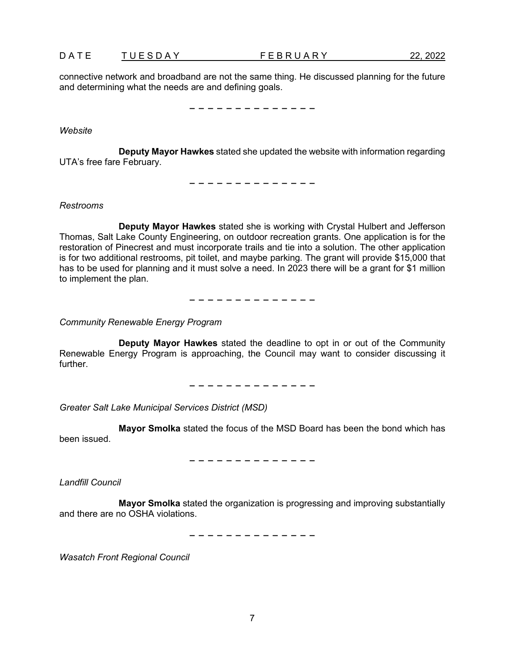|  | DATE | TUESDAY | <b>FEBRUARY</b> | 22, 2022 |
|--|------|---------|-----------------|----------|
|--|------|---------|-----------------|----------|

connective network and broadband are not the same thing. He discussed planning for the future and determining what the needs are and defining goals.

− − − − − − − − − − − − − −

*Website*

**Deputy Mayor Hawkes** stated she updated the website with information regarding UTA's free fare February.

− − − − − − − − − − − − − −

*Restrooms*

**Deputy Mayor Hawkes** stated she is working with Crystal Hulbert and Jefferson Thomas, Salt Lake County Engineering, on outdoor recreation grants. One application is for the restoration of Pinecrest and must incorporate trails and tie into a solution. The other application is for two additional restrooms, pit toilet, and maybe parking. The grant will provide \$15,000 that has to be used for planning and it must solve a need. In 2023 there will be a grant for \$1 million to implement the plan.

− − − − − − − − − − − − − −

*Community Renewable Energy Program*

**Deputy Mayor Hawkes** stated the deadline to opt in or out of the Community Renewable Energy Program is approaching, the Council may want to consider discussing it further.

− − − − − − − − − − − − − −

*Greater Salt Lake Municipal Services District (MSD)* 

**Mayor Smolka** stated the focus of the MSD Board has been the bond which has been issued.

− − − − − − − − − − − − − −

*Landfill Council*

**Mayor Smolka** stated the organization is progressing and improving substantially and there are no OSHA violations.

− − − − − − − − − − − − − −

*Wasatch Front Regional Council*